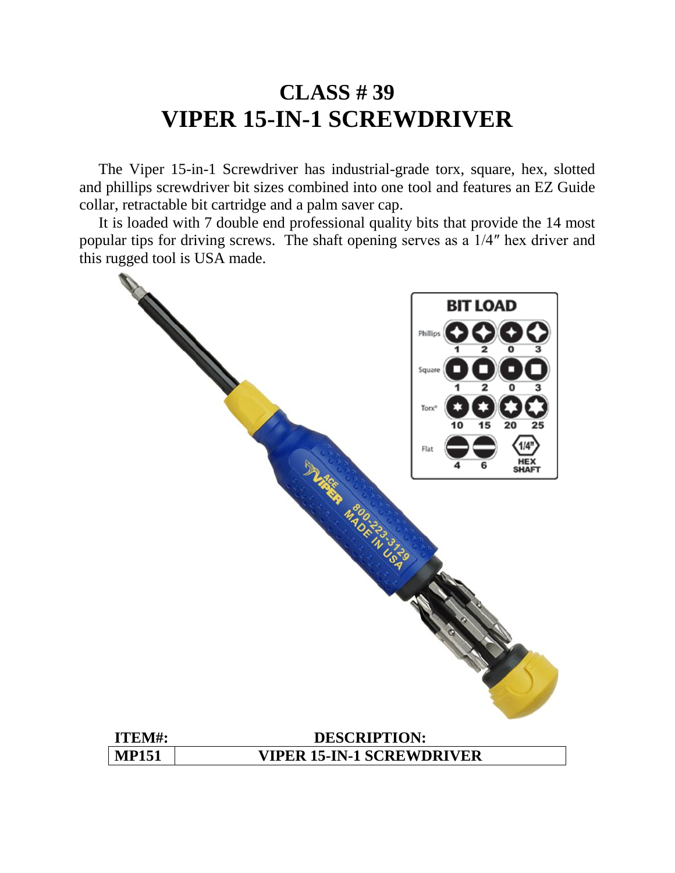### **CLASS # 39 VIPER 15-IN-1 SCREWDRIVER**

 The Viper 15-in-1 Screwdriver has industrial-grade torx, square, hex, slotted and phillips screwdriver bit sizes combined into one tool and features an EZ Guide collar, retractable bit cartridge and a palm saver cap.

 It is loaded with 7 double end professional quality bits that provide the 14 most popular tips for driving screws. The shaft opening serves as a 1/4″ hex driver and this rugged tool is USA made.

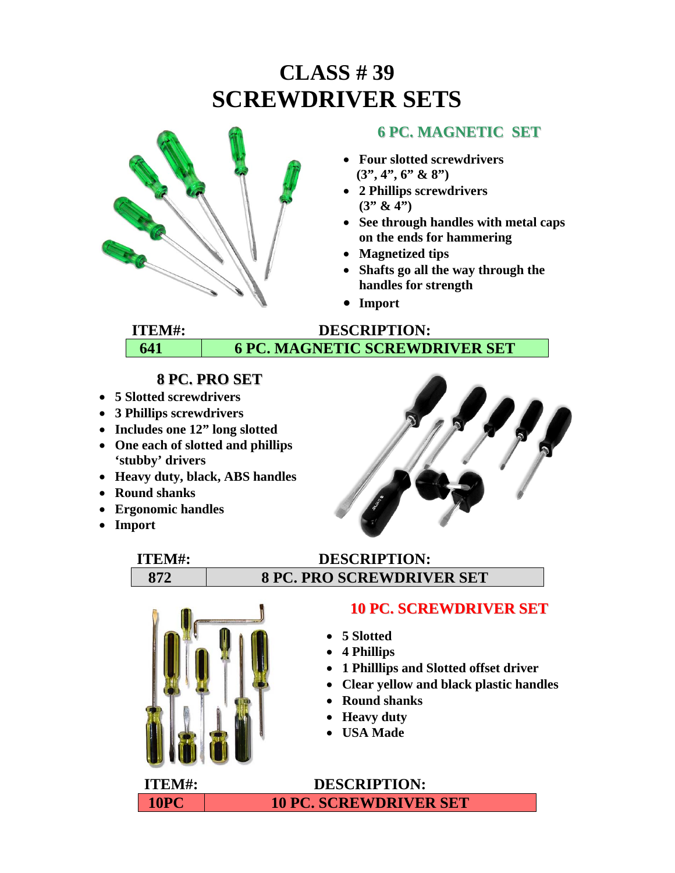# **CLASS # 39 SCREWDRIVER SETS**



#### **6 PC. MAGNETIC SET**

- **Four slotted screwdrivers (3", 4", 6" & 8")**
- **2 Phillips screwdrivers (3" & 4")**
- **See through handles with metal caps on the ends for hammering**
- **Magnetized tips**
- **Shafts go all the way through the handles for strength**
- **Import**

#### **ITEM#: DESCRIPTION: 641 6 PC. MAGNETIC SCREWDRIVER SET**

#### **8 PC. PRO SET**

- **5 Slotted screwdrivers**
- **3 Phillips screwdrivers**
- **Includes one 12" long slotted**
- **One each of slotted and phillips 'stubby' drivers**
- **Heavy duty, black, ABS handles**
- **Round shanks**
- **Ergonomic handles**
- **Import**



#### **ITEM#: DESCRIPTION: 872 8 PC. PRO SCREWDRIVER SET**



#### **10 PC. SCREWDRIVER SET**

- **5 Slotted**
- **4 Phillips**
- **1 Philllips and Slotted offset driver**
- **Clear yellow and black plastic handles**
- **Round shanks**
- **Heavy duty**
- **USA Made**

**ITEM#: DESCRIPTION: 10PC 10 PC. SCREWDRIVER SET**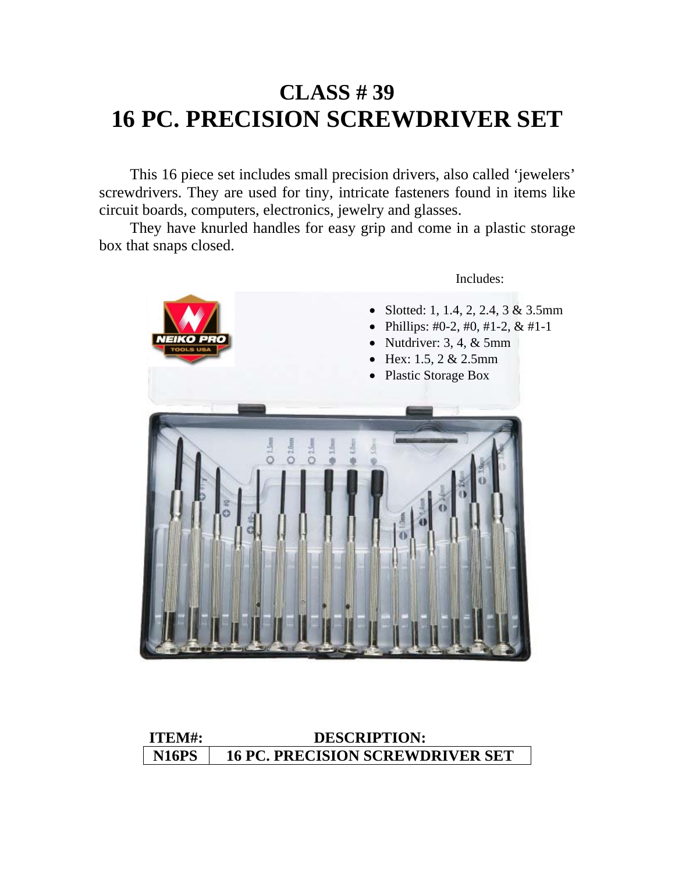## **CLASS # 39 16 PC. PRECISION SCREWDRIVER SET**

 This 16 piece set includes small precision drivers, also called 'jewelers' screwdrivers. They are used for tiny, intricate fasteners found in items like circuit boards, computers, electronics, jewelry and glasses.

 They have knurled handles for easy grip and come in a plastic storage box that snaps closed.



#### **ITEM#: DESCRIPTION: N16PS 16 PC. PRECISION SCREWDRIVER SET**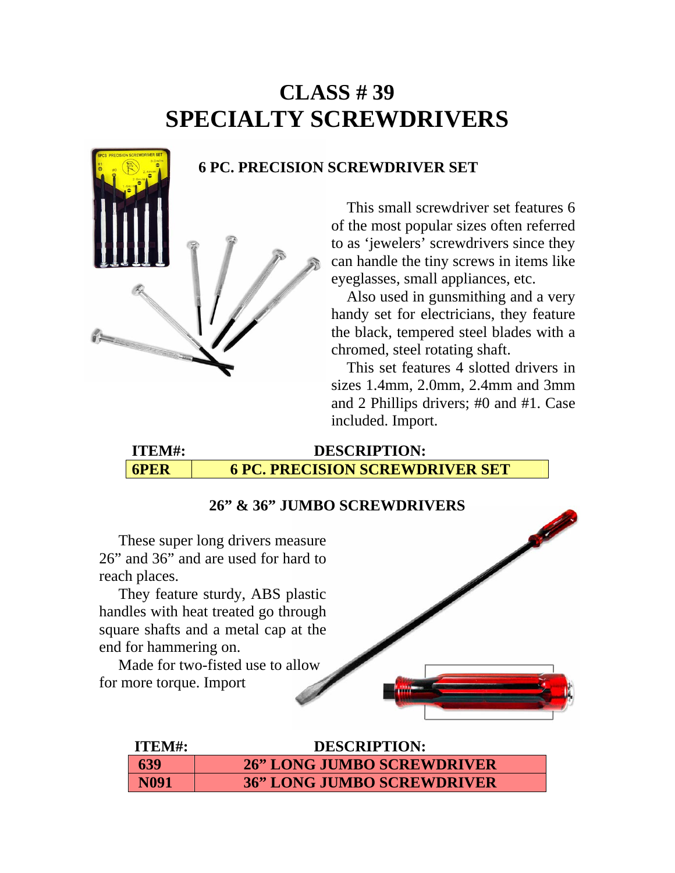### **CLASS # 39 SPECIALTY SCREWDRIVERS**

#### **6 PC. PRECISION SCREWDRIVER SET**

 This small screwdriver set features 6 of the most popular sizes often referred to as 'jewelers' screwdrivers since they can handle the tiny screws in items like eyeglasses, small appliances, etc.

 Also used in gunsmithing and a very handy set for electricians, they feature the black, tempered steel blades with a chromed, steel rotating shaft.

 This set features 4 slotted drivers in sizes 1.4mm, 2.0mm, 2.4mm and 3mm and 2 Phillips drivers; #0 and #1. Case included. Import. Ī

**ITEM#: DESCRIPTION: 6PER 6 PC. PRECISION SCREWDRIVER SET**

#### **26" & 36" JUMBO SCREWDRIVERS**

These super long drivers measure 26" and 36" and are used for hard to reach places.

 They feature sturdy, ABS plastic handles with heat treated go through square shafts and a metal cap at the end for hammering on.

for more torque. Import



| ITEM#:      | <b>DESCRIPTION:</b>               |
|-------------|-----------------------------------|
| 639         | <b>26" LONG JUMBO SCREWDRIVER</b> |
| <b>N091</b> | <b>36" LONG JUMBO SCREWDRIVER</b> |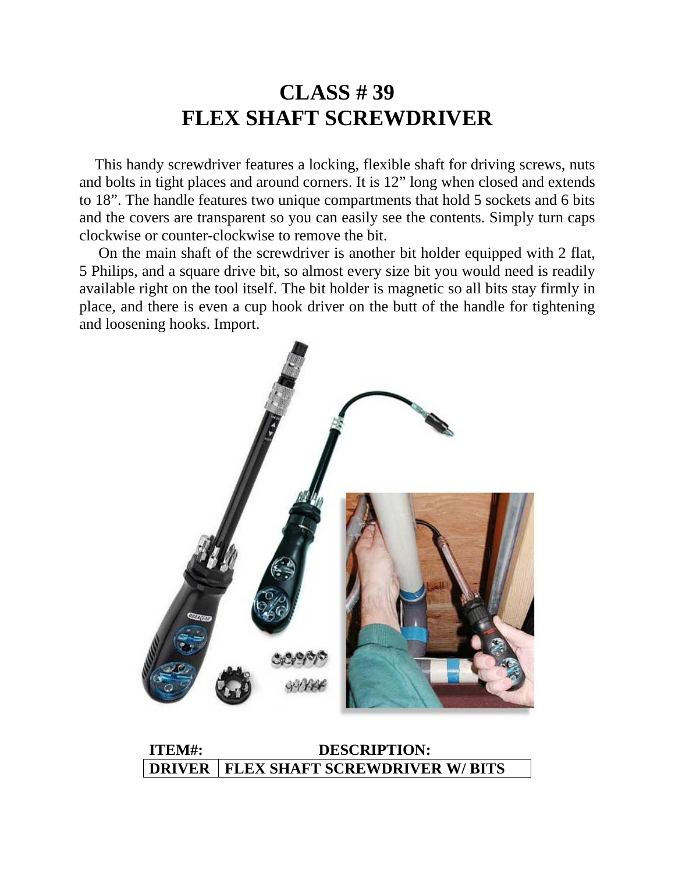### **CLASS # 39 FLEX SHAFT SCREWDRIVER**

 This handy screwdriver features a locking, flexible shaft for driving screws, nuts and bolts in tight places and around corners. It is 12" long when closed and extends to 18". The handle features two unique compartments that hold 5 sockets and 6 bits and the covers are transparent so you can easily see the contents. Simply turn caps clockwise or counter-clockwise to remove the bit.

 On the main shaft of the screwdriver is another bit holder equipped with 2 flat, 5 Philips, and a square drive bit, so almost every size bit you would need is readily available right on the tool itself. The bit holder is magnetic so all bits stay firmly in place, and there is even a cup hook driver on the butt of the handle for tightening and loosening hooks. Import.



**ITEM#: DESCRIPTION: DRIVER FLEX SHAFT SCREWDRIVER W/ BITS**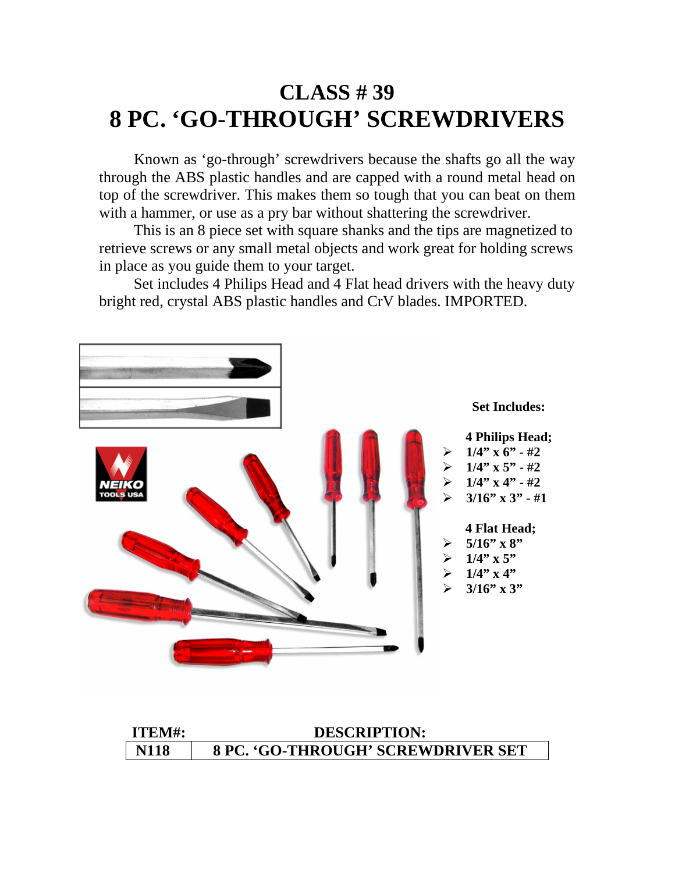### **CLASS # 39 8 PC. 'GO-THROUGH' SCREWDRIVERS**

 Known as 'go-through' screwdrivers because the shafts go all the way through the ABS plastic handles and are capped with a round metal head on top of the screwdriver. This makes them so tough that you can beat on them with a hammer, or use as a pry bar without shattering the screwdriver.

 This is an 8 piece set with square shanks and the tips are magnetized to retrieve screws or any small metal objects and work great for holding screws in place as you guide them to your target.

 Set includes 4 Philips Head and 4 Flat head drivers with the heavy duty bright red, crystal ABS plastic handles and CrV blades. IMPORTED.



| ITEM#:      | <b>DESCRIPTION:</b>                       |
|-------------|-------------------------------------------|
| <b>N118</b> | <b>8 PC. 'GO-THROUGH' SCREWDRIVER SET</b> |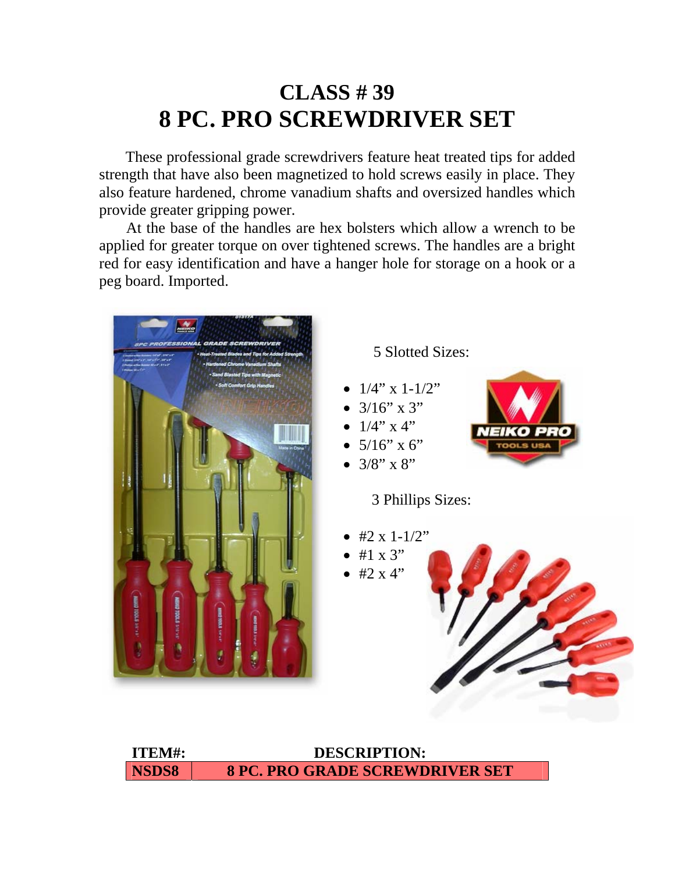### **CLASS # 39 8 PC. PRO SCREWDRIVER SET**

 These professional grade screwdrivers feature heat treated tips for added strength that have also been magnetized to hold screws easily in place. They also feature hardened, chrome vanadium shafts and oversized handles which provide greater gripping power.

 At the base of the handles are hex bolsters which allow a wrench to be applied for greater torque on over tightened screws. The handles are a bright red for easy identification and have a hanger hole for storage on a hook or a peg board. Imported.



**ITEM#: DESCRIPTION: NSDS8 8 PC. PRO GRADE SCREWDRIVER SET**